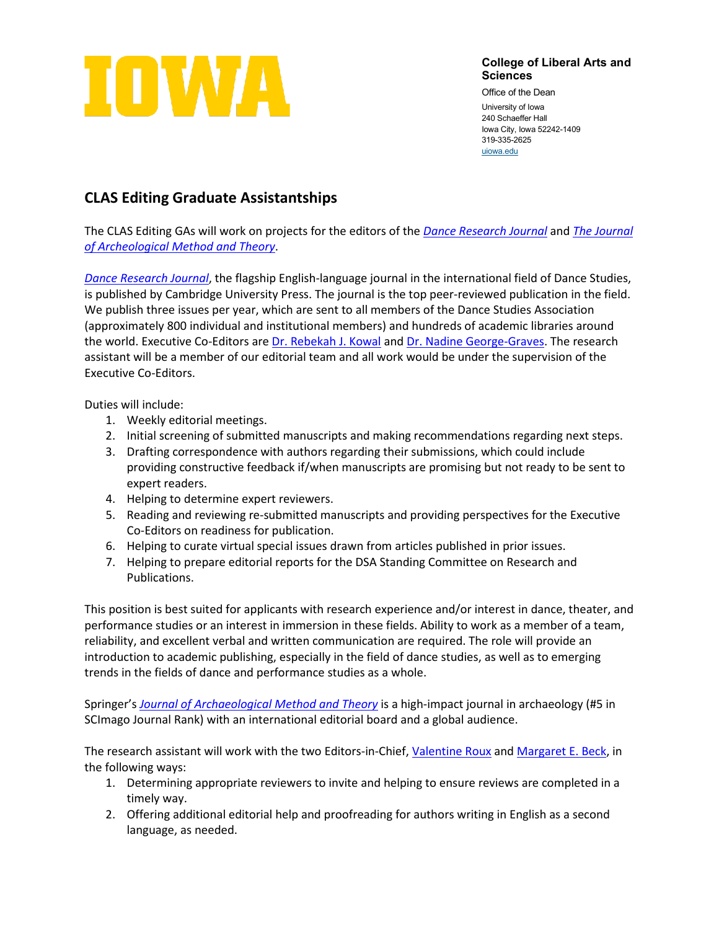

**College of Liberal Arts and Sciences**

Office of the Dean University of Iowa 240 Schaeffer Hall Iowa City, Iowa 52242-1409 319-335-2625 [uiowa.edu](http://uiowa.edu/)

## **CLAS Editing Graduate Assistantships**

The CLAS Editing GAs will work on projects for the editors of the *[Dance Research Journal](https://www.cambridge.org/core/journals/dance-research-journal)* and *[The Journal](https://www.springer.com/journal/10816)  [of Archeological Method and Theory](https://www.springer.com/journal/10816)*.

*[Dance Research Journal](https://www.cambridge.org/core/journals/dance-research-journal)*, the flagship English-language journal in the international field of Dance Studies, is published by Cambridge University Press. The journal is the top peer-reviewed publication in the field. We publish three issues per year, which are sent to all members of the Dance Studies Association (approximately 800 individual and institutional members) and hundreds of academic libraries around the world. Executive Co-Editors ar[e Dr. Rebekah J. Kowal](https://dance.uiowa.edu/people/rebekah-kowal-1) and [Dr. Nadine George-Graves.](https://dance.osu.edu/people/george.946) The research assistant will be a member of our editorial team and all work would be under the supervision of the Executive Co-Editors.

Duties will include:

- 1. Weekly editorial meetings.
- 2. Initial screening of submitted manuscripts and making recommendations regarding next steps.
- 3. Drafting correspondence with authors regarding their submissions, which could include providing constructive feedback if/when manuscripts are promising but not ready to be sent to expert readers.
- 4. Helping to determine expert reviewers.
- 5. Reading and reviewing re-submitted manuscripts and providing perspectives for the Executive Co-Editors on readiness for publication.
- 6. Helping to curate virtual special issues drawn from articles published in prior issues.
- 7. Helping to prepare editorial reports for the DSA Standing Committee on Research and Publications.

This position is best suited for applicants with research experience and/or interest in dance, theater, and performance studies or an interest in immersion in these fields. Ability to work as a member of a team, reliability, and excellent verbal and written communication are required. The role will provide an introduction to academic publishing, especially in the field of dance studies, as well as to emerging trends in the fields of dance and performance studies as a whole.

Springer's *[Journal of Archaeological Method and Theory](https://www.springer.com/journal/10816)* is a high-impact journal in archaeology (#5 in SCImago Journal Rank) with an international editorial board and a global audience.

The research assistant will work with the two Editors-in-Chief, [Valentine Roux](https://cnrs.academia.edu/RouxValentine) and [Margaret E. Beck,](https://anthropology.uiowa.edu/people/margaret-beck) in the following ways:

- 1. Determining appropriate reviewers to invite and helping to ensure reviews are completed in a timely way.
- 2. Offering additional editorial help and proofreading for authors writing in English as a second language, as needed.